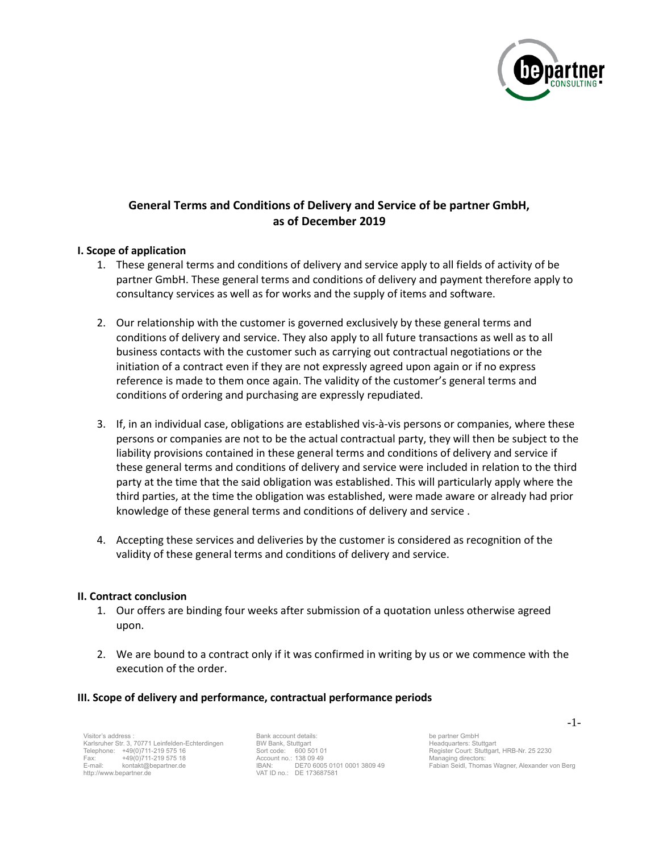

# **General Terms and Conditions of Delivery and Service of be partner GmbH, as of December 2019**

## **I. Scope of application**

- 1. These general terms and conditions of delivery and service apply to all fields of activity of be partner GmbH. These general terms and conditions of delivery and payment therefore apply to consultancy services as well as for works and the supply of items and software.
- 2. Our relationship with the customer is governed exclusively by these general terms and conditions of delivery and service. They also apply to all future transactions as well as to all business contacts with the customer such as carrying out contractual negotiations or the initiation of a contract even if they are not expressly agreed upon again or if no express reference is made to them once again. The validity of the customer's general terms and conditions of ordering and purchasing are expressly repudiated.
- 3. If, in an individual case, obligations are established vis-à-vis persons or companies, where these persons or companies are not to be the actual contractual party, they will then be subject to the liability provisions contained in these general terms and conditions of delivery and service if these general terms and conditions of delivery and service were included in relation to the third party at the time that the said obligation was established. This will particularly apply where the third parties, at the time the obligation was established, were made aware or already had prior knowledge of these general terms and conditions of delivery and service .
- 4. Accepting these services and deliveries by the customer is considered as recognition of the validity of these general terms and conditions of delivery and service.

#### **II. Contract conclusion**

- 1. Our offers are binding four weeks after submission of a quotation unless otherwise agreed upon.
- 2. We are bound to a contract only if it was confirmed in writing by us or we commence with the execution of the order.

#### **III. Scope of delivery and performance, contractual performance periods**

Visitor's address : Karlsruher Str. 3, 70771 Leinfelden-Echterdingen Telephone: +49(0)711-219 575 16<br>Fax: +49(0)711-219 575 18 Fax: +49(0)711-219 575 18 E-mail: kontakt@bepartner.de http://www.bepartner.de

Bank account details: BW Bank, Stuttgart Sort code: 600 501 01 Account no.: 138 09 49 IBAN: DE70 6005 0101 0001 3809 49 VAT ID no.: DE 173687581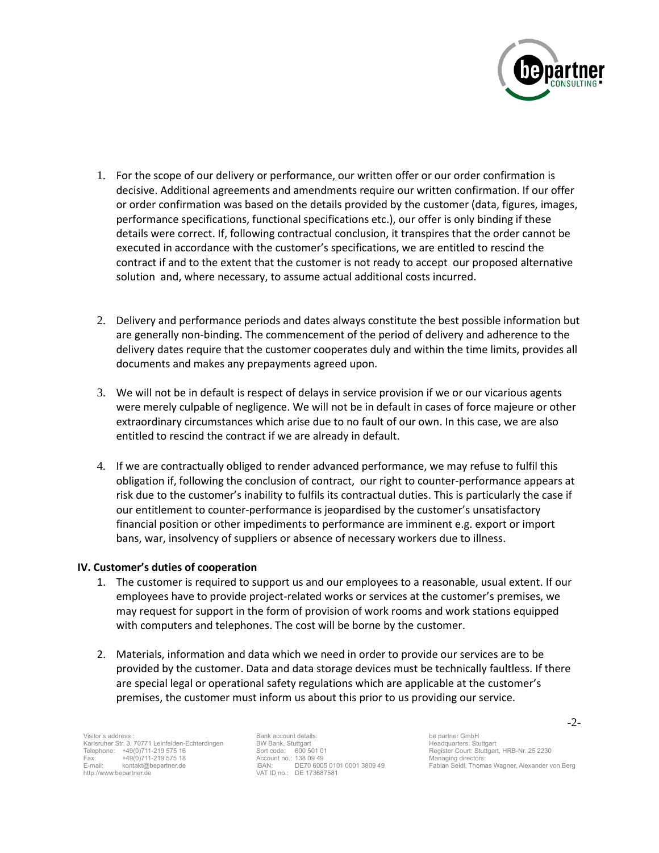

- 1. For the scope of our delivery or performance, our written offer or our order confirmation is decisive. Additional agreements and amendments require our written confirmation. If our offer or order confirmation was based on the details provided by the customer (data, figures, images, performance specifications, functional specifications etc.), our offer is only binding if these details were correct. If, following contractual conclusion, it transpires that the order cannot be executed in accordance with the customer's specifications, we are entitled to rescind the contract if and to the extent that the customer is not ready to accept our proposed alternative solution and, where necessary, to assume actual additional costs incurred.
- 2. Delivery and performance periods and dates always constitute the best possible information but are generally non-binding. The commencement of the period of delivery and adherence to the delivery dates require that the customer cooperates duly and within the time limits, provides all documents and makes any prepayments agreed upon.
- 3. We will not be in default is respect of delays in service provision if we or our vicarious agents were merely culpable of negligence. We will not be in default in cases of force majeure or other extraordinary circumstances which arise due to no fault of our own. In this case, we are also entitled to rescind the contract if we are already in default.
- 4. If we are contractually obliged to render advanced performance, we may refuse to fulfil this obligation if, following the conclusion of contract, our right to counter-performance appears at risk due to the customer's inability to fulfils its contractual duties. This is particularly the case if our entitlement to counter-performance is jeopardised by the customer's unsatisfactory financial position or other impediments to performance are imminent e.g. export or import bans, war, insolvency of suppliers or absence of necessary workers due to illness.

#### **IV. Customer's duties of cooperation**

- 1. The customer is required to support us and our employees to a reasonable, usual extent. If our employees have to provide project-related works or services at the customer's premises, we may request for support in the form of provision of work rooms and work stations equipped with computers and telephones. The cost will be borne by the customer.
- 2. Materials, information and data which we need in order to provide our services are to be provided by the customer. Data and data storage devices must be technically faultless. If there are special legal or operational safety regulations which are applicable at the customer's premises, the customer must inform us about this prior to us providing our service.

Visitor's address : Karlsruher Str. 3, 70771 Leinfelden-Echterdingen Telephone: +49(0)711-219 575 16<br>Fax: +49(0)711-219 575 18 Fax: +49(0)711-219 575 18 E-mail: kontakt@bepartner.de http://www.bepartner.de

Bank account details: BW Bank, Stuttgart Sort code: 600 501 01 Account no.: 138 09 49 IBAN: DE70 6005 0101 0001 3809 49 VAT ID no.: DE 173687581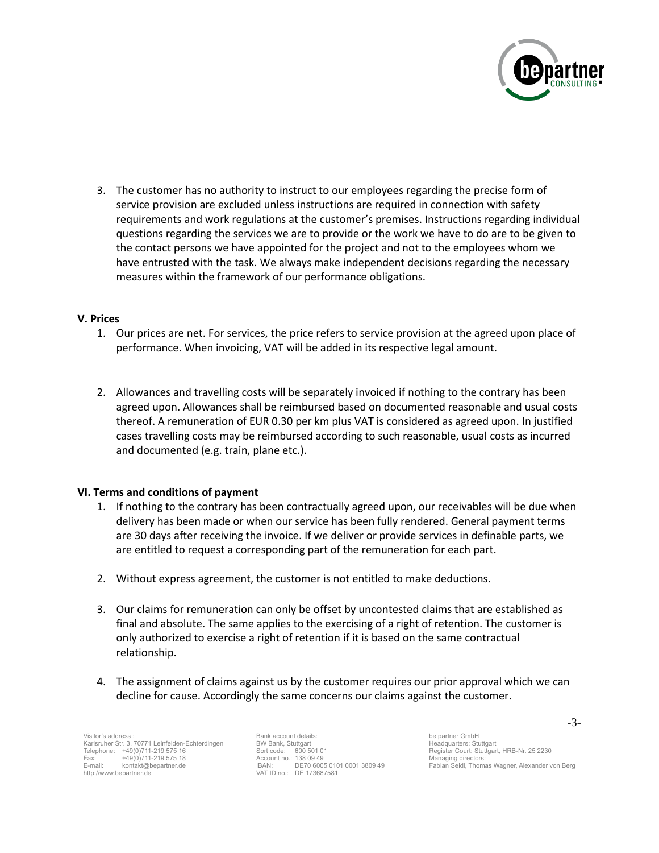

3. The customer has no authority to instruct to our employees regarding the precise form of service provision are excluded unless instructions are required in connection with safety requirements and work regulations at the customer's premises. Instructions regarding individual questions regarding the services we are to provide or the work we have to do are to be given to the contact persons we have appointed for the project and not to the employees whom we have entrusted with the task. We always make independent decisions regarding the necessary measures within the framework of our performance obligations.

#### **V. Prices**

- 1. Our prices are net. For services, the price refers to service provision at the agreed upon place of performance. When invoicing, VAT will be added in its respective legal amount.
- 2. Allowances and travelling costs will be separately invoiced if nothing to the contrary has been agreed upon. Allowances shall be reimbursed based on documented reasonable and usual costs thereof. A remuneration of EUR 0.30 per km plus VAT is considered as agreed upon. In justified cases travelling costs may be reimbursed according to such reasonable, usual costs as incurred and documented (e.g. train, plane etc.).

#### **VI. Terms and conditions of payment**

- 1. If nothing to the contrary has been contractually agreed upon, our receivables will be due when delivery has been made or when our service has been fully rendered. General payment terms are 30 days after receiving the invoice. If we deliver or provide services in definable parts, we are entitled to request a corresponding part of the remuneration for each part.
- 2. Without express agreement, the customer is not entitled to make deductions.
- 3. Our claims for remuneration can only be offset by uncontested claims that are established as final and absolute. The same applies to the exercising of a right of retention. The customer is only authorized to exercise a right of retention if it is based on the same contractual relationship.
- 4. The assignment of claims against us by the customer requires our prior approval which we can decline for cause. Accordingly the same concerns our claims against the customer.

Visitor's address : Karlsruher Str. 3, 70771 Leinfelden-Echterdingen Telephone: +49(0)711-219 575 16<br>Fax: +49(0)711-219 575 18 Fax: +49(0)711-219 575 18 E-mail: kontakt@bepartner.de http://www.bepartner.de

Bank account details: BW Bank, Stuttgart Sort code: 600 501 01 Account no.: 138 09 49 IBAN: DE70 6005 0101 0001 3809 49 VAT ID no.: DE 173687581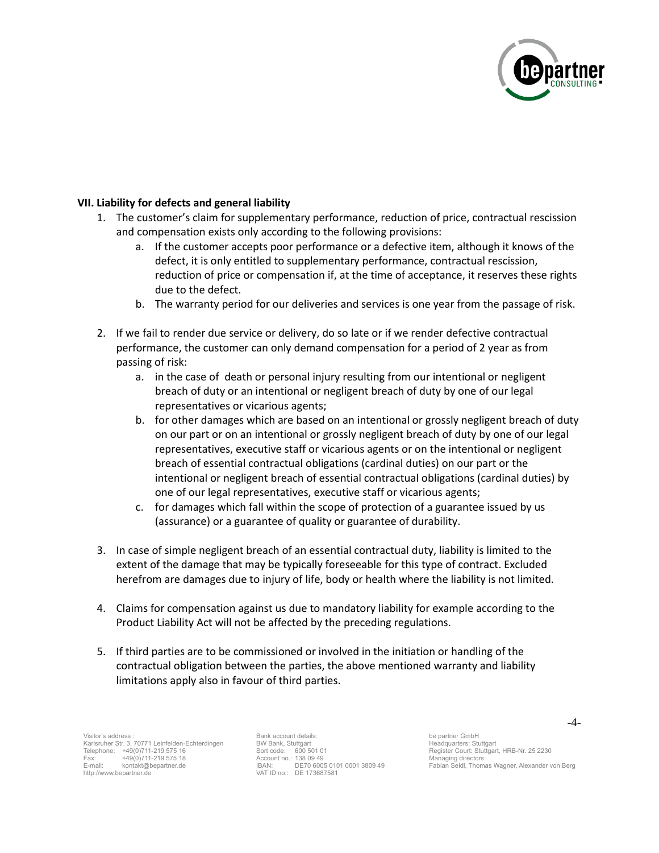

# **VII. Liability for defects and general liability**

- 1. The customer's claim for supplementary performance, reduction of price, contractual rescission and compensation exists only according to the following provisions:
	- a. If the customer accepts poor performance or a defective item, although it knows of the defect, it is only entitled to supplementary performance, contractual rescission, reduction of price or compensation if, at the time of acceptance, it reserves these rights due to the defect.
	- b. The warranty period for our deliveries and services is one year from the passage of risk.
- 2. If we fail to render due service or delivery, do so late or if we render defective contractual performance, the customer can only demand compensation for a period of 2 year as from passing of risk:
	- a. in the case of death or personal injury resulting from our intentional or negligent breach of duty or an intentional or negligent breach of duty by one of our legal representatives or vicarious agents;
	- b. for other damages which are based on an intentional or grossly negligent breach of duty on our part or on an intentional or grossly negligent breach of duty by one of our legal representatives, executive staff or vicarious agents or on the intentional or negligent breach of essential contractual obligations (cardinal duties) on our part or the intentional or negligent breach of essential contractual obligations (cardinal duties) by one of our legal representatives, executive staff or vicarious agents;
	- c. for damages which fall within the scope of protection of a guarantee issued by us (assurance) or a guarantee of quality or guarantee of durability.
- 3. In case of simple negligent breach of an essential contractual duty, liability is limited to the extent of the damage that may be typically foreseeable for this type of contract. Excluded herefrom are damages due to injury of life, body or health where the liability is not limited.
- 4. Claims for compensation against us due to mandatory liability for example according to the Product Liability Act will not be affected by the preceding regulations.
- 5. If third parties are to be commissioned or involved in the initiation or handling of the contractual obligation between the parties, the above mentioned warranty and liability limitations apply also in favour of third parties.

Visitor's address : Karlsruher Str. 3, 70771 Leinfelden-Echterdingen Telephone: +49(0)711-219 575 16<br>Fax: +49(0)711-219 575 18 Fax: +49(0)711-219 575 18 E-mail: kontakt@bepartner.de http://www.bepartner.de

Bank account details: BW Bank, Stuttgart Sort code: 600 501 01 Account no.: 138 09 49 IBAN: DE70 6005 0101 0001 3809 49 VAT ID no.: DE 173687581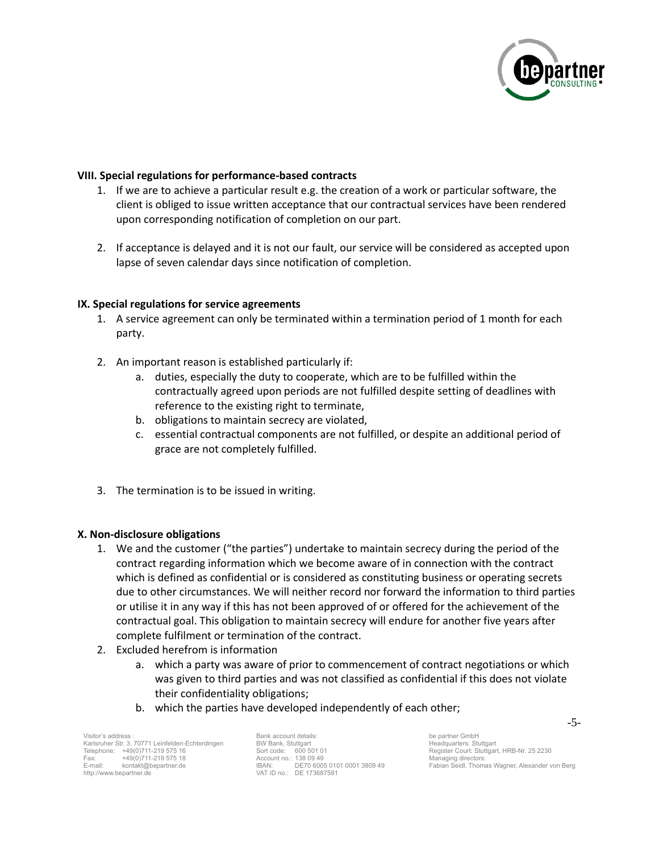

## **VIII. Special regulations for performance-based contracts**

- 1. If we are to achieve a particular result e.g. the creation of a work or particular software, the client is obliged to issue written acceptance that our contractual services have been rendered upon corresponding notification of completion on our part.
- 2. If acceptance is delayed and it is not our fault, our service will be considered as accepted upon lapse of seven calendar days since notification of completion.

#### **IX. Special regulations for service agreements**

- 1. A service agreement can only be terminated within a termination period of 1 month for each party.
- 2. An important reason is established particularly if:
	- a. duties, especially the duty to cooperate, which are to be fulfilled within the contractually agreed upon periods are not fulfilled despite setting of deadlines with reference to the existing right to terminate,
	- b. obligations to maintain secrecy are violated,
	- c. essential contractual components are not fulfilled, or despite an additional period of grace are not completely fulfilled.
- 3. The termination is to be issued in writing.

#### **X. Non-disclosure obligations**

- 1. We and the customer ("the parties") undertake to maintain secrecy during the period of the contract regarding information which we become aware of in connection with the contract which is defined as confidential or is considered as constituting business or operating secrets due to other circumstances. We will neither record nor forward the information to third parties or utilise it in any way if this has not been approved of or offered for the achievement of the contractual goal. This obligation to maintain secrecy will endure for another five years after complete fulfilment or termination of the contract.
- 2. Excluded herefrom is information
	- a. which a party was aware of prior to commencement of contract negotiations or which was given to third parties and was not classified as confidential if this does not violate their confidentiality obligations;
	- b. which the parties have developed independently of each other;

Visitor's address : Karlsruher Str. 3, 70771 Leinfelden-Echterdingen Telephone: +49(0)711-219 575 16<br>Fax: +49(0)711-219 575 18 Fax: +49(0)711-219 575 18 E-mail: kontakt@bepartner.de http://www.bepartner.de

Bank account details: BW Bank, Stuttgart Sort code: 600 501 01 Account no.: 138 09 49 IBAN: DE70 6005 0101 0001 3809 49 VAT ID no.: DE 173687581